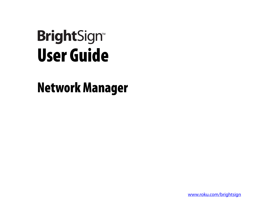# User Guide **BrightSign<sup>®</sup>**

## Network Manager

[www.roku.com/brightsign](http://www.roku.com/brightsign)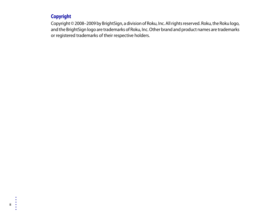#### **Copyright**

Copyright © 2008–2009 by BrightSign, a division of Roku, Inc. All rights reserved. Roku, the Roku logo, and the BrightSign logo are trademarks of Roku, Inc. Other brand and product names are trademarks or registered trademarks of their respective holders.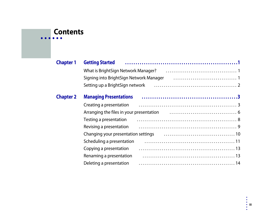#### **• • • • • • Contents**

| <b>Chapter 1</b> | <b>Getting Started</b>                                                                                         |  |
|------------------|----------------------------------------------------------------------------------------------------------------|--|
|                  | What is BrightSign Network Manager? (all intertainar continuum of the Vindon II of the Vindon II of the Vindon |  |
|                  | Signing into BrightSign Network Manager                                                                        |  |
|                  |                                                                                                                |  |
| <b>Chapter 2</b> | <b>Managing Presentations</b>                                                                                  |  |
|                  | Creating a presentation                                                                                        |  |
|                  |                                                                                                                |  |
|                  | Testing a presentation                                                                                         |  |
|                  | Revising a presentation                                                                                        |  |
|                  | Changing your presentation settings [1, 1, 1, 1, 1, 1, 1, 1, 1, 10] Changing your presentation settings        |  |
|                  | Scheduling a presentation                                                                                      |  |
|                  | Copying a presentation                                                                                         |  |
|                  | Renaming a presentation                                                                                        |  |
|                  | Deleting a presentation                                                                                        |  |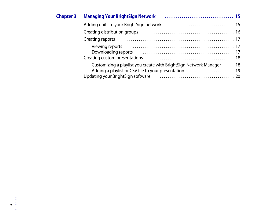| <b>Chapter 3</b> | <b>Managing Your BrightSign Network</b>                                                                                                                                                                                                                                                                                                                                                                                                                                |  |
|------------------|------------------------------------------------------------------------------------------------------------------------------------------------------------------------------------------------------------------------------------------------------------------------------------------------------------------------------------------------------------------------------------------------------------------------------------------------------------------------|--|
|                  | Adding units to your BrightSign network                                                                                                                                                                                                                                                                                                                                                                                                                                |  |
|                  | Creating distribution groups                                                                                                                                                                                                                                                                                                                                                                                                                                           |  |
|                  |                                                                                                                                                                                                                                                                                                                                                                                                                                                                        |  |
|                  | Viewing reports [17] University Contract Terminister Steve Terminister Steve Terminister Steve Terminister Steve Te<br>Downloading reports (and the continuum of the control of the control of the control of the control of the control of the control of the control of the control of the control of the control of the control of the control of<br>Creating custom presentations (example 20) and the Creating custom presentations (example 20) and the Creation |  |
|                  | Customizing a playlist you create with Bright Sign Network Manager 18<br>Updating your BrightSign software                                                                                                                                                                                                                                                                                                                                                             |  |

**iv** • • • • • •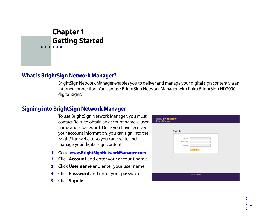## <span id="page-4-1"></span><span id="page-4-0"></span> Chapter 1 **• • • • • •** Getting Started

#### <span id="page-4-2"></span>What is BrightSign Network Manager?

BrightSign Network Manager enables you to deliver and manage your digital sign content via an Internet connection. You can use BrightSign Network Manager with Roku BrightSign HD2000 digital signs.

#### <span id="page-4-4"></span><span id="page-4-3"></span>Signing into BrightSign Network Manager

To use BrightSign Network Manager, you must contact Roku to obtain an account name, a user name and a password. Once you have received your account information, you can sign into the BrightSign website so you can create and manage your digital sign content.

- **1** Go to **[www.BrightSignNetworkManager.com](http://www.brightsignnetworkmanager.com)**.
- **2** Click **Account** and enter your account name.
- **3** Click **User name** and enter your user name.
- **4** Click **Password** and enter your password.
- **5** Click **Sign In**.

| ROKU BrightSign <sup>-</sup><br>Network Manager |                                            |                   |  |
|-------------------------------------------------|--------------------------------------------|-------------------|--|
|                                                 | Sign In                                    |                   |  |
|                                                 | <b>Account:</b><br>User name:<br>Password: | Sign In           |  |
|                                                 |                                            |                   |  |
|                                                 |                                            | © 2008 Roku, Inc. |  |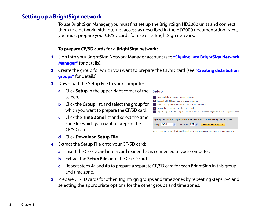• •

•

#### <span id="page-5-1"></span><span id="page-5-0"></span>Setting up a BrightSign network

To use BrightSign Manager, you must first set up the BrightSign HD2000 units and connect them to a network with Internet access as described in the HD2000 documentation. Next, you must prepare your CF/SD cards for use on a BrightSign network.

#### **To prepare CF/SD cards for a BrightSign network:**

- **1** Sign into your BrightSign Network Manager account (see **["Signing into BrightSign Network](#page-4-3)  [Manager"](#page-4-3)** for details).
- **2** Create the group for which you want to prepare the CF/SD card (see **["Creating distribution](#page-19-1)  [groups"](#page-19-1)** for details).
- **3** Download the Setup File to your computer:
	- **a** Click **Setup** in the upper-right corner of the screen. 1 Download the Setup File to your computer
	- **b** Click the **Group** list, and select the group for which you want to prepare the CF/SD card.
	- **c** Click the **Time Zone** list and select the time zone for which you want to prepare the CF/SD card.
	- **d** Click **Download Setup File**.
- **4** Extract the Setup File onto your CF/SD card:
	- **a** Insert the CF/SD card into a card reader that is connected to your computer.
	- **b** Extract the **Setup File** onto the CF/SD card.
	- **c** Repeat steps 4a and 4b to prepare a separate CF/SD card for each BrightSign in this group and time zone.
- **5** Prepare CF/SD cards for other BrightSign groups and time zones by repeating steps 2–4 and selecting the appropriate options for the other groups and time zones.

#### **Setup**



Note: To create Setup Files for additional BrightSign groups and time zones, repeat steps 1-5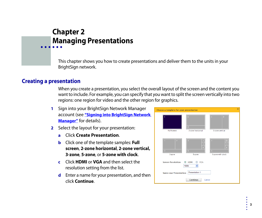### <span id="page-6-1"></span><span id="page-6-0"></span> Chapter 2 **• • • • • •** Managing Presentations

This chapter shows you how to create presentations and deliver them to the units in your BrightSign network.

#### <span id="page-6-2"></span>Creating a presentation

When you create a presentation, you select the overall layout of the screen and the content you want to include. For example, you can specify that you want to split the screen vertically into two regions: one region for video and the other region for graphics.

- **1** Sign into your BrightSign Network Manager account (see **["Signing into BrightSign Network](#page-4-4)  [Manager"](#page-4-4)** for details).
- **2** Select the layout for your presentation:
	- **a** Click **Create Presentation**.
	- **b** Click one of the template samples: **Full screen**, **2-zone horizontal**, **2-zone vertical, 3-zone**, **5-zone**, or **5-zone with clock**.
	- **c** Click **HDMI** or **VGA** and then select the resolution setting from the list.
	- **d** Enter a name for your presentation, and then click **Continue**.

| Choose a template for your presentation |                                     | $\times$                                 |
|-----------------------------------------|-------------------------------------|------------------------------------------|
| $\mathbf{1}$<br><b>Full Screen</b>      | $\overline{2}$<br>2-zone horizontal | 2-zone vertical                          |
|                                         |                                     |                                          |
| D<br>$\overline{3}$<br>3-zone           | E<br>9<br>$\overline{5}$<br>5-zone  | 9<br>5 <sup>1</sup><br>5-zone with clock |
| <b>Screen Resolution:</b>               | $\odot$ HDMI<br>O VGA               |                                          |
|                                         | 1080i                               |                                          |
| <b>Name your Presentation:</b>          | Presentation 1                      |                                          |
|                                         | Continue<br>Cancel                  |                                          |

•

• •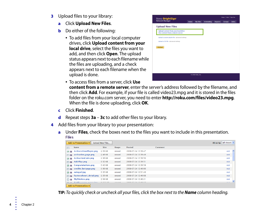- **3** Upload files to your library:
	- **a** Click **Upload New Files**.
	- **b** Do either of the following:
		- To add files from your local computer drives, click **Upload content from your local drive**, select the files you want to add, and then click **Open**. The upload status appears next to each filename while the files are uploading, and a check appears next to each filename when the upload is done.

| ROKU BrightSign <sup>-</sup><br>Network Manager                                 | Home | <b>My Files</b> | <b>Scheduling</b> | <b>Reports</b> | <b>Groups</b> | <b>Units</b> |
|---------------------------------------------------------------------------------|------|-----------------|-------------------|----------------|---------------|--------------|
| <b>Upload New Files</b>                                                         |      |                 |                   |                |               |              |
| <b>Upload content from your local drive</b><br>Use content from a remote server |      |                 |                   |                |               |              |
| Upload a custom playlist file (advanced editing)                                |      |                 |                   |                |               |              |
| Upload a CVS file (advanced editing)                                            |      |                 |                   |                |               |              |
|                                                                                 |      |                 |                   |                |               |              |
|                                                                                 |      |                 |                   |                |               |              |

- To access files from a server, click **Use content from a remote server**, enter the server's address followed by the filename, and then click **Add**. For example, if your file is called video23.mpg and it is stored in the files folder on the roku.com server, you need to enter **http://roku.com/files/video23.mpg**. When the file is done uploading, click **OK**.
- **c** Click **Finished**.
- **d** Repeat steps **3a 3c** to add other files to your library.
- **4** Add files from your library to your presentation:
	- **a** Under **Files**, check the boxes next to the files you want to include in this presentation. **Files**

|                                                 | Add to Presentation +               | <b>Upload New Files</b> |              |                     |         | Filter By: $ $ (all shown) $ $ $\vee$ $ $ |  |
|-------------------------------------------------|-------------------------------------|-------------------------|--------------|---------------------|---------|-------------------------------------------|--|
| $\Box$                                          | <b>Name</b>                         | <b>Size</b>             | <b>Usage</b> | Posted              | Comment |                                           |  |
| [ ⊡                                             | ActivateYourPlayer.png              | $\mathbb{m}$ 39 KB      | unused       | 2008-07-24 12:39:47 |         | $\blacktriangle$<br>Add                   |  |
| $\Box$                                          | activation_page.png                 | $\mathbb{m}$ 46 KB      | unused       | 2008-07-24 12:39:49 |         | Add                                       |  |
| $\sqrt{2}$                                      | ActivationCode.png                  | $\mathbb{m}$ 36 KB      | unused       | 2008-07-24 12:39:50 |         | Add                                       |  |
| $\Box$                                          | Add-Play.png                        | $\mathbb{m}$ 32 KB      | unused       | 2008-07-24 12:39:51 |         | Add                                       |  |
| $\sqrt{2}$                                      | Congratulations.png                 | $\mathbb{I}$ 43 KB      | unused       | 2008-07-24 12:39:58 |         | Add                                       |  |
| $\Box$                                          | credits_lastpage.png                | <b>Ⅲ 99 KB</b>          | unused       | 2008-07-24 12:40:00 |         | Add                                       |  |
| $\overline{\mathbf{v}}$ $\overline{\mathbf{v}}$ | ealogo2.jpg                         | $m$ 35 KB               | unused       | 2008-07-24 12:51:49 |         | Add                                       |  |
| $\Box$                                          | FactoryReset_detail.png             | $\mathbb{Z}$ 35 KB      | unused       | 2008-07-24 12:40:08 |         | Add                                       |  |
| 口回                                              | MyWireless.png                      | <b>百58 KB</b>           | unused       | 2008-07-24 12:40:21 |         | Add                                       |  |
|                                                 | At a Afflication was accounted from | $m = 225$ $1/2$         | المستحددة    | 3000 07 34 13-40-37 |         | 4.11                                      |  |
|                                                 | Add to Presentation +               |                         |              |                     |         |                                           |  |

**TIP:** To quickly check or uncheck all your files, click the box next to the **Name** column heading.

• •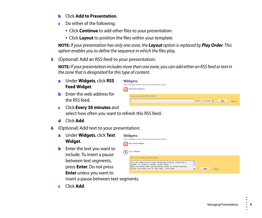- **b** Click **Add to Presentation**.
- **c** Do either of the following:
	- Click **Continue** to add other files to your presentation.
	- Click **Layout** to position the files within your template.

**NOTE:** If your presentation has only one zone, the **Layout** option is replaced by **Play Order**. This option enables you to define the sequence in which the files play.

**5** (Optional) Add an RSS feed to your presentation:

**NOTE:** If your presentation includes more than one zone, you can add either an RSS feed or text in the zone that is designated for this type of content.

**a** Under **Widgets**, click **RSS Feed Widget**.

| <b>Widgets</b>                                  |
|-------------------------------------------------|
| Add a widget to the selected presentation above |
| <b>RSS Feed Widget</b>                          |

Type or paste the URL below

- **b** Enter the web address for the RSS feed.
- **c** Click **Every 30 minutes** and select how often you want to refresh this RSS feed.
- **d** Click **Add**.
- **6** (Optional) Add text to your presentation:
	- **a** Under **Widgets**, click **Text Widget**.
	- **b** Enter the text you want to include. To insert a pause between text segments, press **Enter**. Do not press **Enter** unless you want to insert a pause between text segments.
	- **c** Click **Add**.





Every 30 minutes v

Add

Cancel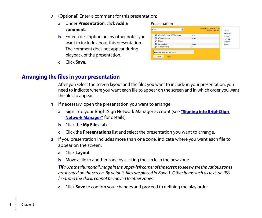- **7** (Optional) Enter a comment for this presentation:
	- **a** Under **Presentation**, click **Add a comment**.
	- **b** Enter a description or any other notes you want to include about this presentation. The comment does not appear during playback of the presentation.
	- **c** Click **Save**.

| BNM <sub>1</sub>        | $\checkmark$                 | Created: 2008-07-24 12:36<br><b>Status: INACTIVE</b> |
|-------------------------|------------------------------|------------------------------------------------------|
|                         | WiredWireless_050208.png     | remove                                               |
| $\Xi$                   | Welcome.png                  | remove                                               |
| $\mathbf{v}$            | <b>Clock</b>                 |                                                      |
| $\overline{\mathbf{z}}$ | ealogo2.jpg                  | remove                                               |
| ◉                       | autoplay.bsp                 | edit                                                 |
|                         | Enter your comment text here |                                                      |
|                         | Cancel<br>Save               |                                                      |

#### <span id="page-9-1"></span><span id="page-9-0"></span>Arranging the files in your presentation

After you select the screen layout and the files you want to include in your presentation, you need to indicate where you want each file to appear on the screen and in which order you want the files to appear.

**Presentation** 

- **1** If necessary, open the presentation you want to arrange:
	- **a** Sign into your BrightSign Network Manager account (see *"Signing into BrightSign* **[Network Manager"](#page-4-4)** for details).
	- **b** Click the **My Files** tab.
	- **c** Click the **Presentations** list and select the presentation you want to arrange.
- **2** If you presentation includes more than one zone, indicate where you want each file to appear on the screen:
	- **a** Click **Layout**.
	- **b** Move a file to another zone by clicking the circle in the new zone.

**TIP:** Use the thumbnail image in the upper-left corner of the screen to see where the various zones are located on the screen. By default, files are placed in Zone 1. Other items such as text, an RSS feed, and the clock, cannot be moved to other zones.

**c** Click **Save** to confirm your changes and proceed to defining the play order.

• •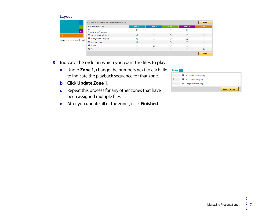| Layout                      |                                                   |            |            |           |        |         |
|-----------------------------|---------------------------------------------------|------------|------------|-----------|--------|---------|
| $\overline{2}$              | Set files in the zones you want them to play      |            |            |           |        | Save    |
| $\overline{\mathbf{3}}$     | <b>Presentation Files</b>                         | Zone 1     | Zone 2     | Zone 3    | Zone 4 | Zone 5  |
| $\overline{4}$              | $\overline{\mathbf{r}}$<br>ActivateYourPlayer.png | $\odot$    | $\bigcirc$ | C         |        |         |
|                             | ActivationCode.png                                | $\odot$    | $\bigcap$  | $\subset$ | ∩      |         |
| Template: 5-zone with clock | Congratulations.png                               | $\odot$    | $\bigcap$  | C         |        |         |
|                             | alogo2.jpg                                        | $\odot$    | $\bigcirc$ |           |        |         |
|                             | O Clock                                           | $\bigcirc$ | $\odot$    | $\cap$    |        |         |
|                             | $\bullet$ Text                                    | $\bigcirc$ | $\bigcap$  | $\bigcap$ |        | $\odot$ |
|                             |                                                   |            |            |           |        | Save    |

- **3** Indicate the order in which you want the files to play:
	- **a** Under **Zone 1**, change the numbers next to each file to indicate the playback sequence for that zone.
	- **b** Click **Update Zone 1**.
	- **c** Repeat this process for any other zones that have been assigned multiple files.
	- **d** After you update all of the zones, click **Finished**.

| Zone           |                        |                      |
|----------------|------------------------|----------------------|
|                | ActivateYourPlayer.png |                      |
| $\overline{2}$ | ActivationCode.png     |                      |
| 3              | Congratulations.png    |                      |
|                |                        | <b>Update Zone 1</b> |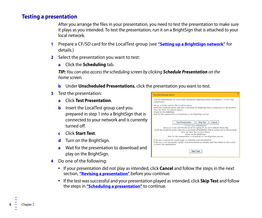#### <span id="page-11-0"></span>Testing a presentation

After you arrange the files in your presentation, you need to test the presentation to make sure it plays as you intended. To test the presentation, run it on a BrightSign that is attached to your local network.

**Preview Presentation** 

- **1** Prepare a CF/SD card for the LocalTest group (see **["Setting up a BrightSign network"](#page-5-1)** for details.)
- **2** Select the presentation you want to test:
	- **a** Click the **Scheduling** tab.

**TIP:** You can also access the scheduling screen by clicking **Schedule Presentation** on the home screen.

- **b** Under Unscheduled Presentations, click the presentation you want to test.
- **3** Test the presentation:
	- **a** Click **Test Presentation**.
	- **b** Insert the LocalTest group card you prepared in step 1 into a BrightSign that is connected to your network and is currently turned off.
	- **c** Click **Start Test**.
	- **d** Turn on the BrightSign.
	- **e** Wait for the presentation to download and play on the BrightSign.
- **4** Do one of the following:
- Test this presentation on your locally networked BrightSign before scheduling it. To test your presentation: Set up a CF/SD card for the LocalTest group Insert the LocalTest group card into a powered off BrightSign that is connected to the network Press the Start Test button below. Power on the BrightSign. Wait for the presentation to download to the BrightSign and run. **Test Presentation Skip Test** Cancel To test your presentation Set up a CF/SD card for the LocalTest group (if you don't already have one) Insert the LocalTest group card into a powered off BrightSign that is connected to the network. Press the Start Test button below. Power on the BrightSign. Wait for the presentation to download to the BrightSign and run If the test is successful, you're ready to schedule your presentation. If the test is not successful, modify your presentation as needed, and then return to this screen to retest the presentation. **Start Test**
- If your presentation did not play as intended, click **Cancel** and follow the steps in the next section, **["Revising a presentation"](#page-12-0)** before you continue.
- If the test was successful and your presentation played as intended, click **Skip Test** and follow the steps in **["Scheduling a presentation"](#page-14-0)** to continue.

• •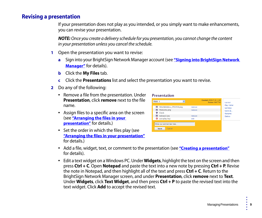#### <span id="page-12-0"></span>Revising a presentation

If your presentation does not play as you intended, or you simply want to make enhancements, you can revise your presentation.

**NOTE:** Once you create a delivery schedule for you presentation, you cannot change the content in your presentation unless you cancel the schedule.

- **1** Open the presentation you want to revise:
	- **a** Sign into your BrightSign Network Manager account (see **["Signing into BrightSign Network](#page-4-4)  [Manager"](#page-4-4)** for details).

**Presentation** 

- **b** Click the **My Files** tab.
- **c** Click the **Presentations** list and select the presentation you want to revise.
- **2** Do any of the following:
	- Remove a file from the presentation. Under **Presentation**, click **remove** next to the file name.
	- Assign files to a specific area on the screen (see **["Arranging the files in your](#page-9-0)  [presentation"](#page-9-0)** for details.)
	- Set the order in which the files play (see **["Arranging the files in your presentation"](#page-9-0)** for details.)

| BNM 1     | $\ddot{\phantom{0}}$                           | Created: 2008-07-24 12:36<br><b>Status: INACTIVE</b> | Lavout<br><b>Play Order</b> |
|-----------|------------------------------------------------|------------------------------------------------------|-----------------------------|
| ⊡         | WiredWireless_050208.png                       | remove                                               | <b>Settings</b>             |
| 回         | Welcome.png                                    | remove                                               | Save as                     |
| $\bullet$ | Clock                                          |                                                      | Rename                      |
| ⊡         | ealogo2.jpg                                    | remove                                               | <b>Delete</b>               |
| ◉         | autoplay.bsp                                   | edit                                                 |                             |
|           | Enter your comment text here<br>Cancel<br>Save |                                                      |                             |

- Add a file, widget, text, or comment to the presentation (see **["Creating a presentation"](#page-6-2)** for details).
- Edit a text widget on a Windows PC. Under **Widgets**, highlight the text on the screen and then press **Ctrl + C**. Open **Notepad** and paste the text into a new note by pressing **Ctrl + P**. Revise the note in Notepad, and then highlight all of the text and press **Ctrl + C**. Return to the BrightSign Network Manager screen, and under **Presentation**, click **remove** next to **Text**. Under **Widgets**, click **Text Widget**, and then press **Ctrl + P** to paste the revised text into the text widget. Click **Add** to accept the revised text.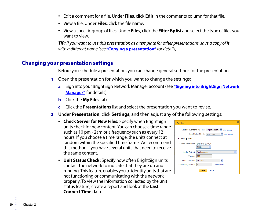- Edit a comment for a file. Under **Files**, click **Edit** in the comments column for that file.
- View a file. Under **Files**, click the file name.
- View a specific group of files. Under **Files**, click the **Filter By** list and select the type of files you want to view.

**TIP:** If you want to use this presentation as a template for other presentations, save a copy of it with a different name (see **["Copying a presentation"](#page-16-0)** for details).

#### <span id="page-13-0"></span>Changing your presentation settings

Before you schedule a presentation, you can change general settings for the presentation.

- **1** Open the presentation for which you want to change the settings:
	- **a** Sign into your BrightSign Network Manager account (see **["Signing into BrightSign Network](#page-4-4)  [Manager"](#page-4-4)** for details).
	- **b** Click the **My Files** tab.
	- **c** Click the **Presentations** list and select the presentation you want to revise.
- **2** Under **Presentation**, click **Settings**, and then adjust any of the following settings:
	- **Check Server for New Files:** Specify when BrightSign units check for new content. You can choose a time range such as 10 pm - 2am or a frequency such as every 12 hours. If you choose a time range, the units connect at random within the specified time frame. We recommend this method if you have several units that need to receive the same content.
	- **Unit Status Check:** Specify how often BrightSign units contact the network to indicate that they are up and running. This feature enables you to identify units that are not functioning or communicating with the network properly. To view the information collected by the unit status feature, create a report and look at the **Last Connect Time** data.

| <b>Settings</b>                                                                                                                      | $\times$ |
|--------------------------------------------------------------------------------------------------------------------------------------|----------|
| Check Server for New Files:   10 pm - 2 am<br>Why do this?<br>Unit Status Check: Every hour<br>Why do this?<br><b>Output Options</b> |          |
| Screen Resolution: ⊙ HDMI ○ VGA<br>1080i                                                                                             |          |
| Audio Output: Analog audio                                                                                                           |          |
| Volume: 100                                                                                                                          |          |
| Slide Transition: No effect                                                                                                          |          |
| Slide Delay Interval: 3<br>$\div$ Why do this?                                                                                       |          |
| Cancel<br><b>Save</b>                                                                                                                |          |

• •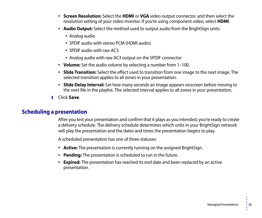- **Screen Resolution:** Select the **HDMI** or **VGA** video output connector, and then select the resolution setting of your video monitor. If you're using component video, select **HDMI**.
- **Audio Output:** Select the method used to output audio from the BrightSign units:
	- Analog audio
	- SPDIF audio with stereo PCM (HDMI audio)
	- SPDIF audio with raw AC3
	- Analog audio with raw AC3 output on the SPDIF connector
- **Volume:** Set the audio volume by selecting a number from 1–100.
- **Slide Transition:** Select the effect used to transition from one image to the next image. The selected transition applies to all zones in your presentation.
- **Slide Delay Interval:** Set how many seconds an image appears onscreen before moving to the next file in the playlist. The selected interval applies to all zones in your presentation.
- **3** Click **Save**.

#### <span id="page-14-0"></span>Scheduling a presentation

After you test your presentation and confirm that it plays as you intended, you're ready to create a delivery schedule. The delivery schedule determines which units in your BrightSign network will play the presentation and the dates and times the presentation begins to play.

A scheduled presentation has one of three statuses:

- **Active:** The presentation is currently running on the assigned BrightSign.
- **Pending:** The presentation is scheduled to run in the future.
- **Expired:** The presentation has reached its end date and been replaced by an active presentation.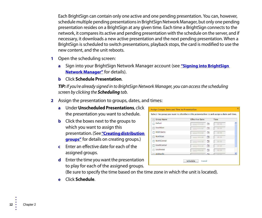Each BrightSign can contain only one active and one pending presentation. You can, however, schedule multiple pending presentations in BrightSign Network Manager, but only one pending presentation resides on a BrightSign at any given time. Each time a BrightSign connects to the network, it compares its active and pending presentation with the schedule on the server, and if necessary, it downloads a new active presentation and the next pending presentation. When a BrightSign is scheduled to switch presentations, playback stops, the card is modified to use the new content, and the unit reboots.

- **1** Open the scheduling screen:
	- **a** Sign into your BrightSign Network Manager account (see **["Signing into BrightSign](#page-4-4)  [Network Manager"](#page-4-4)** for details).
	- **b** Click **Schedule Presentation**.

**TIP:** If you're already signed in to BrightSign Network Manager, you can access the scheduling screen by clicking the **Scheduling** tab.

- **2** Assign the presentation to groups, dates, and times:
	- **a** Under **Unscheduled Presentations**, click the presentation you want to schedule.
	- **b** Click the boxes next to the groups to which you want to assign this presentation. (See **["Creating distribution](#page-19-1)  [groups"](#page-19-1)** for details on creating groups.)
	- **c** Enter an effective date for each of the assigned groups.
	- **d** Enter the time you want the presentation to play for each of the assigned groups.

| ×<br>Assign Groups, Date and Time to Presentation                                        |                       |                        |  |  |  |  |  |  |
|------------------------------------------------------------------------------------------|-----------------------|------------------------|--|--|--|--|--|--|
| Select the group you want to distribute this presentation to and assign a date and time. |                       |                        |  |  |  |  |  |  |
| <b>Group Name</b>                                                                        | <b>Effective Date</b> | <b>Time</b>            |  |  |  |  |  |  |
| Default                                                                                  | yyyy-mm-dd            | T.<br>00:00            |  |  |  |  |  |  |
| SouthEast<br>г                                                                           | yyyy-mm-dd            | Ta<br>00:00            |  |  |  |  |  |  |
| MidAtlantic                                                                              | yyyy-mm-dd            | Ta<br>00:00            |  |  |  |  |  |  |
| <b>NorthEast</b><br>П                                                                    | yyyy-mm-dd            | Пm<br>00:00            |  |  |  |  |  |  |
| NorthCentral                                                                             | vyvy-mm-dd            | Пm<br>00:00            |  |  |  |  |  |  |
| SouthCentral                                                                             | vyvy-mm-dd            | 匣<br>00:00             |  |  |  |  |  |  |
| SouthWest                                                                                | vyyy-mm-dd            | Te,<br>00:00           |  |  |  |  |  |  |
| <b>MidPacific</b>                                                                        |                       | $\frac{1}{2}$<br>00.00 |  |  |  |  |  |  |
| Schedule<br>Cancel                                                                       |                       |                        |  |  |  |  |  |  |

(Be sure to specify the time based on the time zone in which the unit is located).

**e** Click **Schedule**.

• •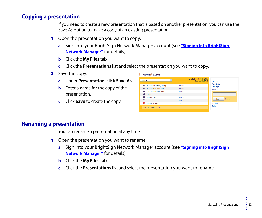#### <span id="page-16-0"></span>Copying a presentation

If you need to create a new presentation that is based on another presentation, you can use the Save As option to make a copy of an existing presentation.

- **1** Open the presentation you want to copy:
	- **a** Sign into your BrightSign Network Manager account (see **["Signing into BrightSign](#page-4-4)  [Network Manager"](#page-4-4)** for details).
	- **b** Click the **My Files** tab.
	- **c** Click the **Presentations** list and select the presentation you want to copy.
- **2** Save the copy:
	- **a** Under **Presentation**, click **Save As**.
	- **b** Enter a name for the copy of the presentation.
	- **c** Click **Save** to create the copy.

#### **Presentation** Created: 2008-07-24 23:17  $\blacktriangledown$  $BNM<sub>2</sub>$ **Status: INACTIVE** Lavout Play Order ActivateYourPlayer.png remove **Settings** ActivationCode.png remove Save as Congratulations.png remove  $\bullet$  Clock ealogo2.jpg remove Save Cancel T Text remove **O** autoplay.bsp edit Rename Delete **BNM 1 test comment Edit**

#### <span id="page-16-1"></span>Renaming a presentation

You can rename a presentation at any time.

- **1** Open the presentation you want to rename:
	- **a** Sign into your BrightSign Network Manager account (see **["Signing into BrightSign](#page-4-4)  [Network Manager"](#page-4-4)** for details).
	- **b** Click the **My Files** tab.
	- **c** Click the **Presentations** list and select the presentation you want to rename.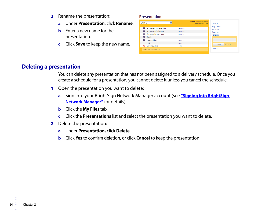- **2** Rename the presentation:
	- **a** Under **Presentation**, click **Rename**.
	- **b** Enter a new name for the presentation.
	- **c** Click **Save** to keep the new name.

#### **Presentation**

| BNM <sub>2</sub>                       | $\overline{\mathbf{v}}$ | Created: 2008-07-24 23:17<br><b>Status: INACTIVE</b> | Lavout<br>Play Order |
|----------------------------------------|-------------------------|------------------------------------------------------|----------------------|
| ActivateYourPlayer.png                 | remove                  |                                                      | <b>Settings</b>      |
| ActivationCode.png<br>$\overline{\Xi}$ | remove                  |                                                      | Save as              |
| Congratulations.png                    | remove                  |                                                      | Rename               |
| C Clock                                |                         |                                                      |                      |
| 图 ealogo2.jpg                          | remove                  |                                                      |                      |
| T Text                                 | remove                  |                                                      | Cancel<br>Save       |
| 0<br>autoplay.bsp                      | edit                    |                                                      |                      |
| <b>BNM 1 test comment Edit</b>         |                         |                                                      | Delete               |

#### <span id="page-17-0"></span>Deleting a presentation

You can delete any presentation that has not been assigned to a delivery schedule. Once you create a schedule for a presentation, you cannot delete it unless you cancel the schedule.

- **1** Open the presentation you want to delete:
	- **a** Sign into your BrightSign Network Manager account (see **["Signing into BrightSign](#page-4-4)  [Network Manager"](#page-4-4)** for details).
	- **b** Click the **My Files** tab.
	- **c** Click the **Presentations** list and select the presentation you want to delete.
- **2** Delete the presentation:
	- **a** Under **Presentation,** click **Delete**.
	- **b** Click **Yes** to confirm deletion, or click **Cancel** to keep the presentation.

• •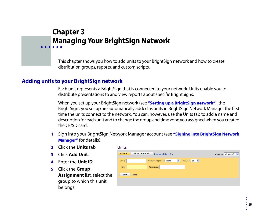## <span id="page-18-1"></span><span id="page-18-0"></span> Chapter 3 **• • • • • •** Managing Your BrightSign Network

This chapter shows you how to add units to your BrightSign network and how to create distribution groups, reports, and custom scripts.

#### <span id="page-18-2"></span>Adding units to your BrightSign network

Each unit represents a BrightSign that is connected to your network. Units enable you to distribute presentations to and view reports about specific BrightSigns.

When you set up your BrightSign network (see **["Setting up a BrightSign network"](#page-5-1)**), the BrightSigns you set up are automatically added as units in BrightSign Network Manager the first time the units connect to the network. You can, however, use the Units tab to add a name and description for each unit and to change the group and time zone you assigned when you created the CF/SD card.

- **1** Sign into your BrightSign Network Manager account (see **["Signing into BrightSign Network](#page-4-4)  [Manager"](#page-4-4)** for details).
- **2** Click the **Units** tab.
- **3** Click **Add Unit**.
- **4** Enter the **Unit ID**.
- **5** Click the **Group Assignment** list, select the group to which this unit belongs.

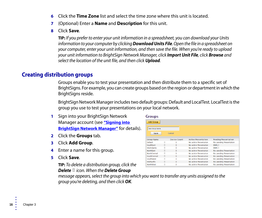- **6** Click the **Time Zone** list and select the time zone where this unit is located.
- **7** (Optional) Enter a **Name** and **Description** for this unit.
- **8** Click **Save**.

**TIP:** If you prefer to enter your unit information in a spreadsheet, you can download your Units information to your computer by clicking **Download Units File**. Open the file in a spreadsheet on your computer, enter your unit information, and then save the file. When you're ready to upload your unit information to BrightSign Network Manager, click **Import Unit File**, click **Browse** and select the location of the unit file, and then click **Upload**.

#### <span id="page-19-1"></span><span id="page-19-0"></span>Creating distribution groups

Groups enable you to test your presentation and then distribute them to a specific set of BrightSigns. For example, you can create groups based on the region or department in which the BrightSigns reside.

BrightSign Network Manager includes two default groups: Default and LocalTest. LocalTest is the group you use to test your presentations on your local network.

- **1** Sign into your BrightSign Network Manager account (see **["Signing into](#page-4-4)  [BrightSign Network Manager"](#page-4-4)** for details).
- **2** Click the **Groups** tab.
- **3** Click **Add Group**.
- **4** Enter a name for this group.
- **5** Click **Save**.

**TIP:** To delete a distribution group, click the **Delete** icon. When the **Delete Group**

| <b>Add Group</b><br>New Group Name<br>Cancel<br>Save<br><b>Active Presentation</b><br><b>Device Count</b><br><b>Pending Presentation</b><br><b>Group Name</b><br>m<br>Default<br>No active Presentation<br>No pending Presentation<br>$\Omega$<br>SouthEast<br>TΠ<br>$\Omega$<br>No active Presentation<br>BNM <sub>-1</sub><br>MidAtlantic.<br>m<br>$\Omega$<br>No active Presentation<br>RNM 1<br>m<br><b>NorthFast</b><br>$\Omega$<br>No active Presentation<br>No pending Presentation<br>Ŵ<br><b>NorthCentral</b><br>$\Omega$<br>No pending Presentation<br>No active Presentation<br>SouthCentral<br>TΠ<br>$\Omega$<br>No pending Presentation<br>No active Presentation<br>m<br>SouthWest<br>$\Omega$<br>No pending Presentation<br>No active Presentation<br>m<br><b>MidPacific</b><br>$\Omega$<br>No pending Presentation<br>No active Presentation<br>Ú<br><b>NorthWest</b><br>$\mathbf{O}$<br>No pending Presentation<br>No active Presentation | <b>Groups</b> |  |  |
|------------------------------------------------------------------------------------------------------------------------------------------------------------------------------------------------------------------------------------------------------------------------------------------------------------------------------------------------------------------------------------------------------------------------------------------------------------------------------------------------------------------------------------------------------------------------------------------------------------------------------------------------------------------------------------------------------------------------------------------------------------------------------------------------------------------------------------------------------------------------------------------------------------------------------------------------------------|---------------|--|--|
|                                                                                                                                                                                                                                                                                                                                                                                                                                                                                                                                                                                                                                                                                                                                                                                                                                                                                                                                                            |               |  |  |
|                                                                                                                                                                                                                                                                                                                                                                                                                                                                                                                                                                                                                                                                                                                                                                                                                                                                                                                                                            |               |  |  |
|                                                                                                                                                                                                                                                                                                                                                                                                                                                                                                                                                                                                                                                                                                                                                                                                                                                                                                                                                            |               |  |  |
|                                                                                                                                                                                                                                                                                                                                                                                                                                                                                                                                                                                                                                                                                                                                                                                                                                                                                                                                                            |               |  |  |
|                                                                                                                                                                                                                                                                                                                                                                                                                                                                                                                                                                                                                                                                                                                                                                                                                                                                                                                                                            |               |  |  |
|                                                                                                                                                                                                                                                                                                                                                                                                                                                                                                                                                                                                                                                                                                                                                                                                                                                                                                                                                            |               |  |  |
|                                                                                                                                                                                                                                                                                                                                                                                                                                                                                                                                                                                                                                                                                                                                                                                                                                                                                                                                                            |               |  |  |
|                                                                                                                                                                                                                                                                                                                                                                                                                                                                                                                                                                                                                                                                                                                                                                                                                                                                                                                                                            |               |  |  |
|                                                                                                                                                                                                                                                                                                                                                                                                                                                                                                                                                                                                                                                                                                                                                                                                                                                                                                                                                            |               |  |  |
|                                                                                                                                                                                                                                                                                                                                                                                                                                                                                                                                                                                                                                                                                                                                                                                                                                                                                                                                                            |               |  |  |
|                                                                                                                                                                                                                                                                                                                                                                                                                                                                                                                                                                                                                                                                                                                                                                                                                                                                                                                                                            |               |  |  |
|                                                                                                                                                                                                                                                                                                                                                                                                                                                                                                                                                                                                                                                                                                                                                                                                                                                                                                                                                            |               |  |  |
|                                                                                                                                                                                                                                                                                                                                                                                                                                                                                                                                                                                                                                                                                                                                                                                                                                                                                                                                                            |               |  |  |
|                                                                                                                                                                                                                                                                                                                                                                                                                                                                                                                                                                                                                                                                                                                                                                                                                                                                                                                                                            |               |  |  |

message appears, select the group into which you want to transfer any units assigned to the group you're deleting, and then click **OK**.

Chapter 3 •

• •

• • •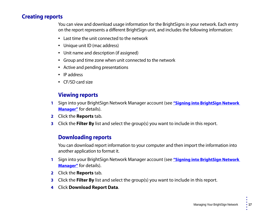#### <span id="page-20-0"></span>Creating reports

You can view and download usage information for the BrightSigns in your network. Each entry on the report represents a different BrightSign unit, and includes the following information:

- Last time the unit connected to the network
- Unique unit ID (mac address)
- Unit name and description (if assigned)
- Group and time zone when unit connected to the network
- Active and pending presentations
- IP address
- CF/SD card size

#### <span id="page-20-1"></span>Viewing reports

- **1** Sign into your BrightSign Network Manager account (see **["Signing into BrightSign Network](#page-4-4)  [Manager"](#page-4-4)** for details).
- **2** Click the **Reports** tab.
- **3** Click the **Filter By** list and select the group(s) you want to include in this report.

#### <span id="page-20-2"></span>Downloading reports

You can download report information to your computer and then import the information into another application to format it.

- **1** Sign into your BrightSign Network Manager account (see **["Signing into BrightSign Network](#page-4-4)  [Manager"](#page-4-4)** for details).
- **2** Click the **Reports** tab.
- **3** Click the **Filter By** list and select the group(s) you want to include in this report.
- **4** Click **Download Report Data**.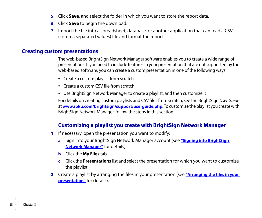- **5** Click **Save**, and select the folder in which you want to store the report data.
- **6** Click **Save** to begin the download.
- **7** Import the file into a spreadsheet, database, or another application that can read a CSV (comma separated values) file and format the report.

#### <span id="page-21-0"></span>Creating custom presentations

The web-based BrightSign Network Manager software enables you to create a wide range of presentations. If you need to include features in your presentation that are not supported by the web-based software, you can create a custom presentation in one of the following ways:

- Create a custom playlist from scratch
- Create a custom CSV file from scratch
- Use BrightSign Network Manager to create a playlist, and then customize it

For details on creating custom playlists and CSV files from scratch, see the BrightSign User Guide at **[www.roku.com/brightsign/support/userguide.php](http://www.roku.com/brightsign/support/userguide.php)**. To customize the playlist you create with BrightSign Network Manager, follow the steps in this section.

#### <span id="page-21-1"></span>Customizing a playlist you create with BrightSign Network Manager

- **1** If necessary, open the presentation you want to modify:
	- **a** Sign into your BrightSign Network Manager account (see **["Signing into BrightSign](#page-4-4)  [Network Manager"](#page-4-4)** for details).
	- **b** Click the **My Files** tab.
	- **c** Click the **Presentations** list and select the presentation for which you want to customize the playlist.
- **2** Create a playlist by arranging the files in your presentation (see **["Arranging the files in your](#page-9-1)  [presentation"](#page-9-1)** for details).

• •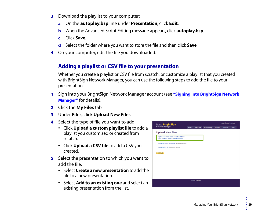- **3** Download the playlist to your computer:
	- **a** On the **autoplay.bsp** line under **Presentation**, click **Edit**.
	- **b** When the Advanced Script Editing message appears, click **autoplay.bsp**.
	- **c** Click **Save**.
	- **d** Select the folder where you want to store the file and then click **Save**.
- **4** On your computer, edit the file you downloaded.

#### <span id="page-22-0"></span>Adding a playlist or CSV file to your presentation

Whether you create a playlist or CSV file from scratch, or customize a playlist that you created with BrightSign Network Manager, you can use the following steps to add the file to your presentation.

- **1** Sign into your BrightSign Network Manager account (see **["Signing into BrightSign Network](#page-4-4)  [Manager"](#page-4-4)** for details).
- **2** Click the **My Files** tab.
- **3** Under **Files**, click **Upload New Files**.
- **4** Select the type of file you want to add:
	- Click **Upload a custom playlist file** to add a playlist you customized or created from scratch.
	- Click **Upload a CSV file** to add a CSV you created.
- **5** Select the presentation to which you want to add the file:
	- Select **Create a new presentation** to add the file to a new presentation.
	- Select **Add to an existing one** and select an existing presentation from the list.

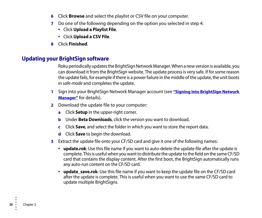- **6** Click **Browse** and select the playlist or CSV file on your computer.
- **7** Do one of the following depending on the option you selected in step 4:
	- Click **Upload a Playlist File**.
	- Click **Upload a CSV File**.
- **8** Click **Finished**.

#### <span id="page-23-0"></span>Updating your BrightSign software

Roku periodically updates the BrightSign Network Manager. When a new version is available, you can download it from the BrightSign website. The update process is very safe. If for some reason the update fails, for example if there is a power failure in the middle of the update, the unit boots in safe-mode and completes the update.

- **1** Sign into your BrightSign Network Manager account (see **["Signing into BrightSign Network](#page-4-4)  [Manager"](#page-4-4)** for details).
- **2** Download the update file to your computer:
	- **a** Click **Setup** in the upper-right corner.
	- **b** Under **Beta Downloads**, click the version you want to download.
	- **c** Click **Save**, and select the folder in which you want to store the report data.
	- **d** Click **Save** to begin the download.
- **3** Extract the update file onto your CF/SD card and give it one of the following names:
	- **update.rok**: Use this file name if you want to auto-delete the update file after the update is complete. This is useful when you want to distribute the update to the field on the same CF/SD card that contains the display content. After the first boot, the BrightSign automatically runs any auto-run content on the CF/SD card.
	- update save.rok: Use this file name if you want to keep the update file on the CF/SD card after the update is complete. This is useful when you want to use the same CF/SD card to update multiple BrightSigns.

• •